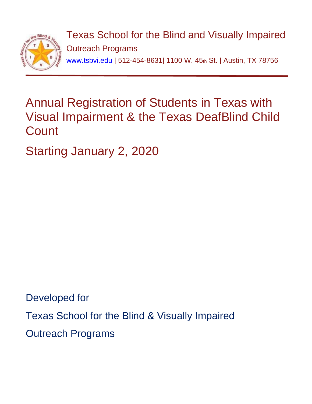

Texas School for the Blind and Visually Impaired Outreach Programs [www.tsbvi.edu](http://www.tsbvi.edu/) | 512-454-8631| 1100 W. 45th St. | Austin, TX 78756

# Annual Registration of Students in Texas with Visual Impairment & the Texas DeafBlind Child **Count**

Starting January 2, 2020

Developed for Texas School for the Blind & Visually Impaired Outreach Programs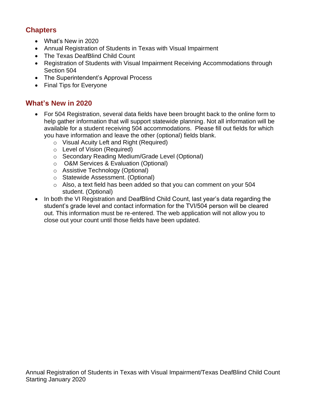# **Chapters**

- What's New in 2020
- Annual Registration of Students in Texas with Visual Impairment
- The Texas DeafBlind Child Count
- Registration of Students with Visual Impairment Receiving Accommodations through Section 504
- The Superintendent's Approval Process
- Final Tips for Everyone

# **What's New in 2020**

- For 504 Registration, several data fields have been brought back to the online form to help gather information that will support statewide planning. Not all information will be available for a student receiving 504 accommodations. Please fill out fields for which you have information and leave the other (optional) fields blank.
	- o Visual Acuity Left and Right (Required)
	- o Level of Vision (Required)
	- o Secondary Reading Medium/Grade Level (Optional)
	- o O&M Services & Evaluation (Optional)
	- o Assistive Technology (Optional)
	- o Statewide Assessment. (Optional)
	- o Also, a text field has been added so that you can comment on your 504 student. (Optional)
- In both the VI Registration and DeafBlind Child Count, last year's data regarding the student's grade level and contact information for the TVI/504 person will be cleared out. This information must be re-entered. The web application will not allow you to close out your count until those fields have been updated.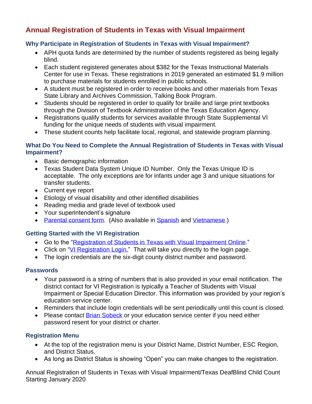# **Annual Registration of Students in Texas with Visual Impairment**

# **Why Participate in Registration of Students in Texas with Visual Impairment?**

- APH quota funds are determined by the number of students registered as being legally blind.
- Each student registered generates about \$382 for the Texas Instructional Materials Center for use in Texas. These registrations in 2019 generated an estimated \$1.9 million to purchase materials for students enrolled in public schools.
- A student must be registered in order to receive books and other materials from Texas State Library and Archives Commission, Talking Book Program.
- Students should be registered in order to qualify for braille and large print textbooks through the Division of Textbook Administration of the Texas Education Agency.
- Registrations qualify students for services available through State Supplemental VI funding for the unique needs of students with visual impairment.
- These student counts help facilitate local, regional, and statewide program planning.

### **What Do You Need to Complete the Annual Registration of Students in Texas with Visual Impairment?**

- Basic demographic information
- Texas Student Data System Unique ID Number. Only the Texas Unique ID is acceptable. The only exceptions are for infants under age 3 and unique situations for transfer students.
- Current eye report
- Etiology of visual disability and other identified disabilities
- Reading media and grade level of textbook used
- Your superintendent's signature
- [Parental consent form.](http://www.tsbvi.edu/images/outreach/consent.pdf) (Also available in [Spanish](https://www.tsbvi.edu/images/outreach/Documents/DBChildCount/ConsentReleaseConfidentialInformation_SP_Final.pdf) and [Vietnamese.](https://www.tsbvi.edu/images/outreach/Documents/DBChildCount/ConsentReleaseConfidentialInformationEN_VIE.pdf))

### **Getting Started with the VI Registration**

- Go to the ["Registration of Students in Texas with Visual Impairment](https://www.tsbvi.edu/texas-students/vi-registration) Online."
- Click on ["VI Registration Login.](https://www.tsbvi.edu/vireg/)" That will take you directly to the login page.
- The login credentials are the six-digit county district number and password.

#### **Passwords**

- Your password is a string of numbers that is also provided in your email notification. The district contact for VI Registration is typically a Teacher of Students with Visual Impairment or Special Education Director. This information was provided by your region's education service center.
- Reminders that include login credentials will be sent periodically until this count is closed.
- Please contact **Brian Sobeck** or your education service center if you need either password resent for your district or charter.

#### **Registration Menu**

- At the top of the registration menu is your District Name, District Number, ESC Region, and District Status.
- As long as District Status is showing "Open" you can make changes to the registration.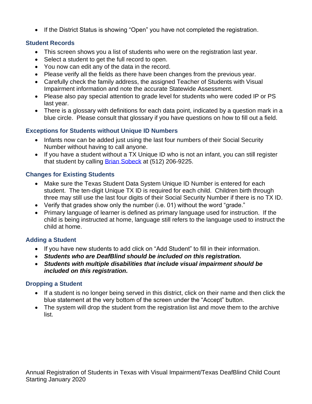• If the District Status is showing "Open" you have not completed the registration.

#### **Student Records**

- This screen shows you a list of students who were on the registration last year.
- Select a student to get the full record to open.
- You now can edit any of the data in the record.
- Please verify all the fields as there have been changes from the previous year.
- Carefully check the family address, the assigned Teacher of Students with Visual Impairment information and note the accurate Statewide Assessment.
- Please also pay special attention to grade level for students who were coded IP or PS last year.
- There is a glossary with definitions for each data point, indicated by a question mark in a blue circle. Please consult that glossary if you have questions on how to fill out a field.

#### **Exceptions for Students without Unique ID Numbers**

- Infants now can be added just using the last four numbers of their Social Security Number without having to call anyone.
- If you have a student without a TX Unique ID who is not an infant, you can still register that student by calling [Brian Sobeck](mailto:sobeckb@tsbvi.edu) at (512) 206-9225.

### **Changes for Existing Students**

- Make sure the Texas Student Data System Unique ID Number is entered for each student. The ten-digit Unique TX ID is required for each child. Children birth through three may still use the last four digits of their Social Security Number if there is no TX ID.
- Verify that grades show only the number (i.e. 01) without the word "grade."
- Primary language of learner is defined as primary language used for instruction. If the child is being instructed at home, language still refers to the language used to instruct the child at home.

#### **Adding a Student**

- If you have new students to add click on "Add Student" to fill in their information.
- *Students who are DeafBlind should be included on this registration.*
- *Students with multiple disabilities that include visual impairment should be included on this registration.*

### **Dropping a Student**

- If a student is no longer being served in this district, click on their name and then click the blue statement at the very bottom of the screen under the "Accept" button.
- The system will drop the student from the registration list and move them to the archive list.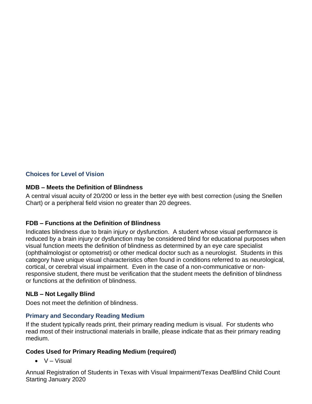## **Choices for Level of Vision**

### **MDB – Meets the Definition of Blindness**

A central visual acuity of 20/200 or less in the better eye with best correction (using the Snellen Chart) or a peripheral field vision no greater than 20 degrees.

### **FDB – Functions at the Definition of Blindness**

Indicates blindness due to brain injury or dysfunction. A student whose visual performance is reduced by a brain injury or dysfunction may be considered blind for educational purposes when visual function meets the definition of blindness as determined by an eye care specialist (ophthalmologist or optometrist) or other medical doctor such as a neurologist. Students in this category have unique visual characteristics often found in conditions referred to as neurological, cortical, or cerebral visual impairment. Even in the case of a non-communicative or nonresponsive student, there must be verification that the student meets the definition of blindness or functions at the definition of blindness.

#### **NLB – Not Legally Blind**

Does not meet the definition of blindness.

#### **Primary and Secondary Reading Medium**

If the student typically reads print, their primary reading medium is visual. For students who read most of their instructional materials in braille, please indicate that as their primary reading medium.

### **Codes Used for Primary Reading Medium (required)**

 $\bullet$  V – Visual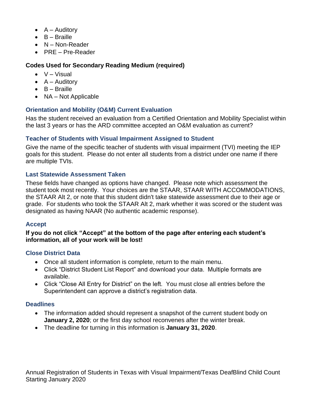- $\bullet$  A Auditory
- B Braille
- N Non-Reader
- PRE Pre-Reader

# **Codes Used for Secondary Reading Medium (required)**

- $\bullet$  V Visual
- $\bullet$  A Auditory
- B Braille
- NA Not Applicable

# **Orientation and Mobility (O&M) Current Evaluation**

Has the student received an evaluation from a Certified Orientation and Mobility Specialist within the last 3 years or has the ARD committee accepted an O&M evaluation as current?

# **Teacher of Students with Visual Impairment Assigned to Student**

Give the name of the specific teacher of students with visual impairment (TVI) meeting the IEP goals for this student. Please do not enter all students from a district under one name if there are multiple TVIs.

## **Last Statewide Assessment Taken**

These fields have changed as options have changed. Please note which assessment the student took most recently. Your choices are the STAAR, STAAR WITH ACCOMMODATIONS, the STAAR Alt 2, or note that this student didn't take statewide assessment due to their age or grade. For students who took the STAAR Alt 2, mark whether it was scored or the student was designated as having NAAR (No authentic academic response).

# **Accept**

#### **If you do not click "Accept" at the bottom of the page after entering each student's information, all of your work will be lost!**

### **Close District Data**

- Once all student information is complete, return to the main menu.
- Click "District Student List Report" and download your data. Multiple formats are available.
- Click "Close All Entry for District" on the left. You must close all entries before the Superintendent can approve a district's registration data.

# **Deadlines**

- The information added should represent a snapshot of the current student body on **January 2, 2020**; or the first day school reconvenes after the winter break.
- The deadline for turning in this information is **January 31, 2020**.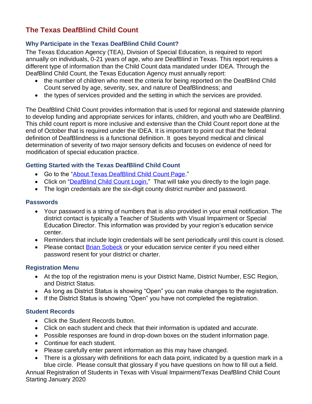# **The Texas DeafBlind Child Count**

## **Why Participate in the Texas DeafBlind Child Count?**

The Texas Education Agency (TEA), Division of Special Education, is required to report annually on individuals, 0-21 years of age, who are DeafBlind in Texas. This report requires a different type of information than the Child Count data mandated under IDEA. Through the DeafBlind Child Count, the Texas Education Agency must annually report:

- the number of children who meet the criteria for being reported on the DeafBlind Child Count served by age, severity, sex, and nature of DeafBlindness; and
- the types of services provided and the setting in which the services are provided.

The DeafBlind Child Count provides information that is used for regional and statewide planning to develop funding and appropriate services for infants, children, and youth who are DeafBlind. This child count report is more inclusive and extensive than the Child Count report done at the end of October that is required under the IDEA. It is important to point out that the federal definition of DeafBlindness is a functional definition. It goes beyond medical and clinical determination of severity of two major sensory deficits and focuses on evidence of need for modification of special education practice.

### **Getting Started with the Texas DeafBlind Child Count**

- Go to the ["About Texas DeafBlind Child Count Page.](https://www.tsbvi.edu/about-deafblind-child-count)"
- Click on ["DeafBlind Child Count Login.](https://www.tsbvi.edu/dbcensus/)" That will take you directly to the login page.
- The login credentials are the six-digit county district number and password.

#### **Passwords**

- Your password is a string of numbers that is also provided in your email notification. The district contact is typically a Teacher of Students with Visual Impairment or Special Education Director. This information was provided by your region's education service center.
- Reminders that include login credentials will be sent periodically until this count is closed.
- Please contact **Brian Sobeck** or your education service center if you need either password resent for your district or charter.

#### **Registration Menu**

- At the top of the registration menu is your District Name, District Number, ESC Region, and District Status.
- As long as District Status is showing "Open" you can make changes to the registration.
- If the District Status is showing "Open" you have not completed the registration.

#### **Student Records**

- Click the Student Records button.
- Click on each student and check that their information is updated and accurate.
- Possible responses are found in drop-down boxes on the student information page.
- Continue for each student.
- Please carefully enter parent information as this may have changed.
- There is a glossary with definitions for each data point, indicated by a question mark in a blue circle. Please consult that glossary if you have questions on how to fill out a field.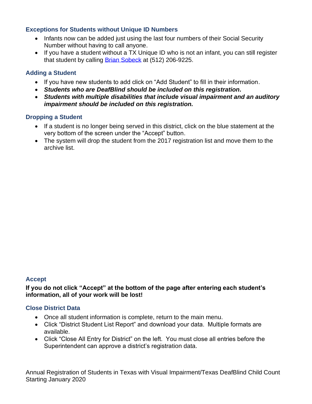### **Exceptions for Students without Unique ID Numbers**

- Infants now can be added just using the last four numbers of their Social Security Number without having to call anyone.
- If you have a student without a TX Unique ID who is not an infant, you can still register that student by calling [Brian Sobeck](mailto:sobeckb@tsbvi.edu) at (512) 206-9225.

## **Adding a Student**

- If you have new students to add click on "Add Student" to fill in their information.
- *Students who are DeafBlind should be included on this registration.*
- *Students with multiple disabilities that include visual impairment and an auditory impairment should be included on this registration.*

#### **Dropping a Student**

- If a student is no longer being served in this district, click on the blue statement at the very bottom of the screen under the "Accept" button.
- The system will drop the student from the 2017 registration list and move them to the archive list.

#### **Accept**

**If you do not click "Accept" at the bottom of the page after entering each student's information, all of your work will be lost!**

### **Close District Data**

- Once all student information is complete, return to the main menu.
- Click "District Student List Report" and download your data. Multiple formats are available.
- Click "Close All Entry for District" on the left. You must close all entries before the Superintendent can approve a district's registration data.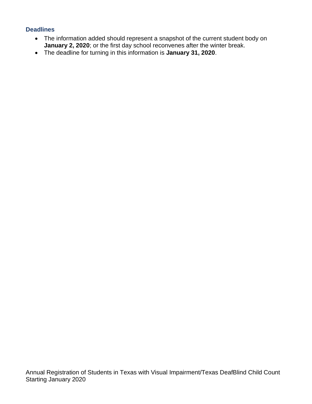#### **Deadlines**

- The information added should represent a snapshot of the current student body on **January 2, 2020**; or the first day school reconvenes after the winter break.
- The deadline for turning in this information is **January 31, 2020**.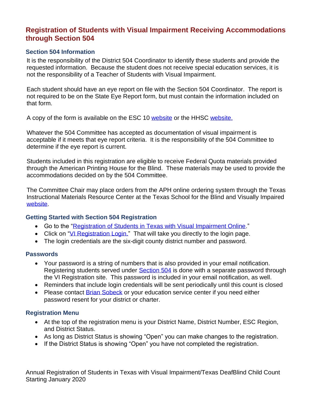# **Registration of Students with Visual Impairment Receiving Accommodations through Section 504**

#### **Section 504 Information**

It is the responsibility of the District 504 Coordinator to identify these students and provide the requested information. Because the student does not receive special education services, it is not the responsibility of a Teacher of Students with Visual Impairment.

Each student should have an eye report on file with the Section 504 Coordinator. The report is not required to be on the State Eye Report form, but must contain the information included on that form.

A copy of the form is available on the ESC 10 [website](https://www.region10.org/r10website/assets/File/eyeexam.pdf) or the HHSC website.

Whatever the 504 Committee has accepted as documentation of visual impairment is acceptable if it meets that eye report criteria. It is the responsibility of the 504 Committee to determine if the eye report is current.

Students included in this registration are eligible to receive Federal Quota materials provided through the American Printing House for the Blind. These materials may be used to provide the accommodations decided on by the 504 Committee.

The Committee Chair may place orders from the APH online ordering system through the Texas Instructional Materials Resource Center at the Texas School for the Blind and Visually Impaired [website.](http://www.tsbvi.edu/)

#### **Getting Started with Section 504 Registration**

- Go to the ["Registration of Students in Texas with Visual Impairment Online.](https://www.tsbvi.edu/texas-students/vi-registration)"
- Click on ["VI Registration Login.](https://www.tsbvi.edu/vireg/)" That will take you directly to the login page.
- The login credentials are the six-digit county district number and password.

#### **Passwords**

- Your password is a string of numbers that is also provided in your email notification. Registering students served under [Section 504](https://www2.ed.gov/about/offices/list/ocr/504faq.html#introduction) is done with a separate password through the VI Registration site. This password is included in your email notification, as well.
- Reminders that include login credentials will be sent periodically until this count is closed
- Please contact **Brian Sobeck** or your education service center if you need either password resent for your district or charter.

### **Registration Menu**

- At the top of the registration menu is your District Name, District Number, ESC Region, and District Status.
- As long as District Status is showing "Open" you can make changes to the registration.
- If the District Status is showing "Open" you have not completed the registration.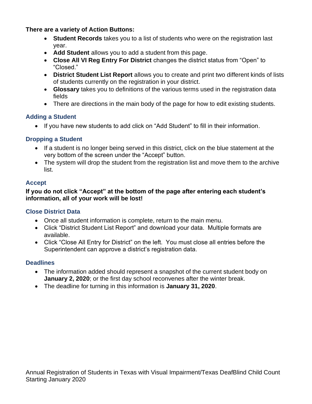**There are a variety of Action Buttons:**

- **Student Records** takes you to a list of students who were on the registration last year.
- **Add Student** allows you to add a student from this page.
- **Close All VI Reg Entry For District** changes the district status from "Open" to "Closed."
- **District Student List Report** allows you to create and print two different kinds of lists of students currently on the registration in your district.
- **Glossary** takes you to definitions of the various terms used in the registration data fields
- There are directions in the main body of the page for how to edit existing students.

## **Adding a Student**

• If you have new students to add click on "Add Student" to fill in their information.

## **Dropping a Student**

- If a student is no longer being served in this district, click on the blue statement at the very bottom of the screen under the "Accept" button.
- The system will drop the student from the registration list and move them to the archive list.

## **Accept**

**If you do not click "Accept" at the bottom of the page after entering each student's information, all of your work will be lost!**

# **Close District Data**

- Once all student information is complete, return to the main menu.
- Click "District Student List Report" and download your data. Multiple formats are available.
- Click "Close All Entry for District" on the left. You must close all entries before the Superintendent can approve a district's registration data.

### **Deadlines**

- The information added should represent a snapshot of the current student body on **January 2, 2020**; or the first day school reconvenes after the winter break.
- The deadline for turning in this information is **January 31, 2020**.